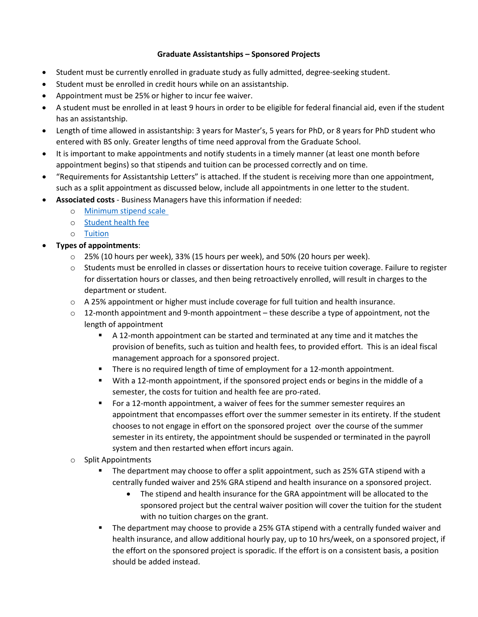## **Graduate Assistantships – Sponsored Projects**

- Student must be currently enrolled in graduate study as fully admitted, degree-seeking student.
- Student must be enrolled in credit hours while on an assistantship.
- Appointment must be 25% or higher to incur fee waiver.
- A student must be enrolled in at least 9 hours in order to be eligible for federal financial aid, even if the student has an assistantship.
- Length of time allowed in assistantship: 3 years for Master's, 5 years for PhD, or 8 years for PhD student who entered with BS only. Greater lengths of time need approval from the Graduate School.
- It is important to make appointments and notify students in a timely manner (at least one month before appointment begins) so that stipends and tuition can be processed correctly and on time.
- "Requirements for Assistantship Letters" is attached. If the student is receiving more than one appointment, such as a split appointment as discussed below, include all appointments in one letter to the student.
- **Associated costs** Business Managers have this information if needed:
	- o [Minimum stipend scale](https://budget.utk.edu/graduate-stipends-2018/)
	- o [Student health fee](https://studenthealth.utk.edu/graduate-assistants-associates-including-gagragta/)
	- o [Tuition](https://onestop.utk.edu/tuition-detail/)

## • **Types of appointments**:

- $\circ$  25% (10 hours per week), 33% (15 hours per week), and 50% (20 hours per week).
- o Students must be enrolled in classes or dissertation hours to receive tuition coverage. Failure to register for dissertation hours or classes, and then being retroactively enrolled, will result in charges to the department or student.
- $\circ$  A 25% appointment or higher must include coverage for full tuition and health insurance.
- $\circ$  12-month appointment and 9-month appointment these describe a type of appointment, not the length of appointment
	- A 12-month appointment can be started and terminated at any time and it matches the provision of benefits, such as tuition and health fees, to provided effort. This is an ideal fiscal management approach for a sponsored project.
	- **There is no required length of time of employment for a 12-month appointment.**
	- With a 12-month appointment, if the sponsored project ends or begins in the middle of a semester, the costs for tuition and health fee are pro-rated.
	- For a 12-month appointment, a waiver of fees for the summer semester requires an appointment that encompasses effort over the summer semester in its entirety. If the student chooses to not engage in effort on the sponsored project over the course of the summer semester in its entirety, the appointment should be suspended or terminated in the payroll system and then restarted when effort incurs again.
- o Split Appointments
	- **The department may choose to offer a split appointment, such as 25% GTA stipend with a** centrally funded waiver and 25% GRA stipend and health insurance on a sponsored project.
		- The stipend and health insurance for the GRA appointment will be allocated to the sponsored project but the central waiver position will cover the tuition for the student with no tuition charges on the grant.
	- The department may choose to provide a 25% GTA stipend with a centrally funded waiver and health insurance, and allow additional hourly pay, up to 10 hrs/week, on a sponsored project, if the effort on the sponsored project is sporadic. If the effort is on a consistent basis, a position should be added instead.